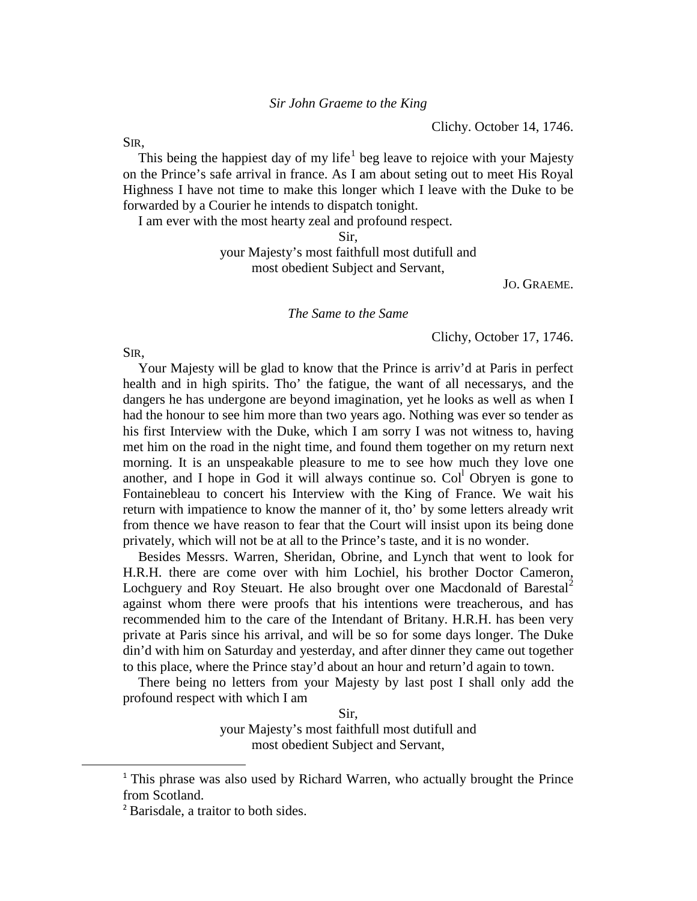Clichy. October 14, 1746.

SIR,

This being the happiest day of my life<sup>[1](#page-0-0)</sup> beg leave to rejoice with your Majesty on the Prince's safe arrival in france. As I am about seting out to meet His Royal Highness I have not time to make this longer which I leave with the Duke to be forwarded by a Courier he intends to dispatch tonight.

I am ever with the most hearty zeal and profound respect.

Sir,

your Majesty's most faithfull most dutifull and most obedient Subject and Servant,

JO. GRAEME.

*The Same to the Same*

Clichy, October 17, 1746.

SIR,

Your Majesty will be glad to know that the Prince is arriv'd at Paris in perfect health and in high spirits. Tho' the fatigue, the want of all necessarys, and the dangers he has undergone are beyond imagination, yet he looks as well as when I had the honour to see him more than two years ago. Nothing was ever so tender as his first Interview with the Duke, which I am sorry I was not witness to, having met him on the road in the night time, and found them together on my return next morning. It is an unspeakable pleasure to me to see how much they love one another, and I hope in God it will always continue so.  $Col<sup>1</sup>$  Obryen is gone to Fontainebleau to concert his Interview with the King of France. We wait his return with impatience to know the manner of it, tho' by some letters already writ from thence we have reason to fear that the Court will insist upon its being done privately, which will not be at all to the Prince's taste, and it is no wonder.

Besides Messrs. Warren, Sheridan, Obrine, and Lynch that went to look for H.R.H. there are come over with him Lochiel, his brother Doctor Cameron, Lochguery and Roy Steuart. He also brought over one Macdonald of Barestal<sup>[2](#page-0-1)</sup> against whom there were proofs that his intentions were treacherous, and has recommended him to the care of the Intendant of Britany. H.R.H. has been very private at Paris since his arrival, and will be so for some days longer. The Duke din'd with him on Saturday and yesterday, and after dinner they came out together to this place, where the Prince stay'd about an hour and return'd again to town.

There being no letters from your Majesty by last post I shall only add the profound respect with which I am

> Sir, your Majesty's most faithfull most dutifull and

most obedient Subject and Servant,

<span id="page-0-0"></span><sup>&</sup>lt;sup>1</sup> This phrase was also used by Richard Warren, who actually brought the Prince from Scotland.

<span id="page-0-1"></span><sup>&</sup>lt;sup>2</sup> Barisdale, a traitor to both sides.